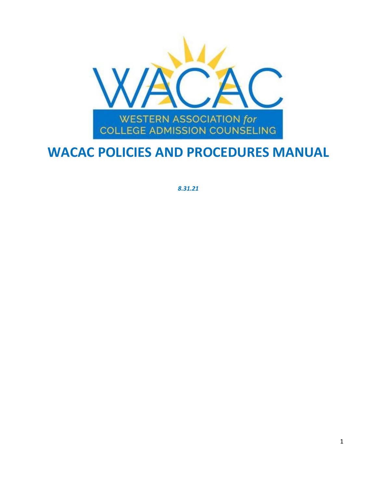

## **WACAC POLICIES AND PROCEDURES MANUAL**

*8.31.21*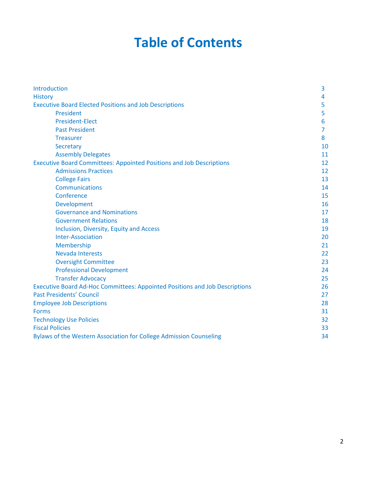## **Table of Contents**

| Introduction                                                                | 3  |
|-----------------------------------------------------------------------------|----|
| <b>History</b>                                                              | 4  |
| <b>Executive Board Elected Positions and Job Descriptions</b>               | 5  |
| <b>President</b>                                                            | 5  |
| <b>President-Elect</b>                                                      | 6  |
| <b>Past President</b>                                                       | 7  |
| <b>Treasurer</b>                                                            | 8  |
| <b>Secretary</b>                                                            | 10 |
| <b>Assembly Delegates</b>                                                   | 11 |
| <b>Executive Board Committees: Appointed Positions and Job Descriptions</b> | 12 |
| <b>Admissions Practices</b>                                                 | 12 |
| <b>College Fairs</b>                                                        | 13 |
| Communications                                                              | 14 |
| Conference                                                                  | 15 |
| Development                                                                 | 16 |
| <b>Governance and Nominations</b>                                           | 17 |
| <b>Government Relations</b>                                                 | 18 |
| Inclusion, Diversity, Equity and Access                                     | 19 |
| <b>Inter-Association</b>                                                    | 20 |
| Membership                                                                  | 21 |
| <b>Nevada Interests</b>                                                     | 22 |
| <b>Oversight Committee</b>                                                  | 23 |
| <b>Professional Development</b>                                             | 24 |
| <b>Transfer Advocacy</b>                                                    | 25 |
| Executive Board Ad-Hoc Committees: Appointed Positions and Job Descriptions | 26 |
| <b>Past Presidents' Council</b>                                             | 27 |
| <b>Employee Job Descriptions</b>                                            | 28 |
| <b>Forms</b>                                                                | 31 |
| <b>Technology Use Policies</b>                                              | 32 |
| <b>Fiscal Policies</b>                                                      | 33 |
| Bylaws of the Western Association for College Admission Counseling          | 34 |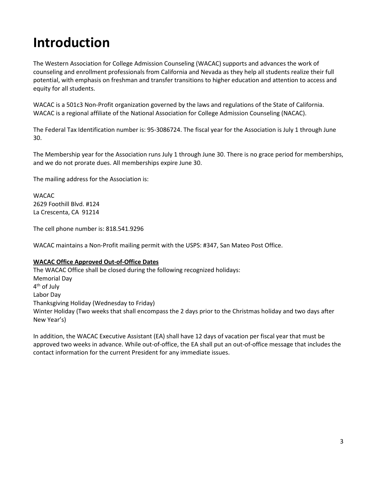## **Introduction**

The Western Association for College Admission Counseling (WACAC) supports and advances the work of counseling and enrollment professionals from California and Nevada as they help all students realize their full potential, with emphasis on freshman and transfer transitions to higher education and attention to access and equity for all students.

WACAC is a 501c3 Non-Profit organization governed by the laws and regulations of the State of California. WACAC is a regional affiliate of the National Association for College Admission Counseling (NACAC).

The Federal Tax Identification number is: 95-3086724. The fiscal year for the Association is July 1 through June 30.

The Membership year for the Association runs July 1 through June 30. There is no grace period for memberships, and we do not prorate dues. All memberships expire June 30.

The mailing address for the Association is:

WACAC 2629 Foothill Blvd. #124 La Crescenta, CA 91214

The cell phone number is: 818.541.9296

WACAC maintains a Non-Profit mailing permit with the USPS: #347, San Mateo Post Office.

#### **WACAC Office Approved Out-of-Office Dates**

The WACAC Office shall be closed during the following recognized holidays: Memorial Day 4th of July Labor Day Thanksgiving Holiday (Wednesday to Friday) Winter Holiday (Two weeks that shall encompass the 2 days prior to the Christmas holiday and two days after New Year's)

In addition, the WACAC Executive Assistant (EA) shall have 12 days of vacation per fiscal year that must be approved two weeks in advance. While out-of-office, the EA shall put an out-of-office message that includes the contact information for the current President for any immediate issues.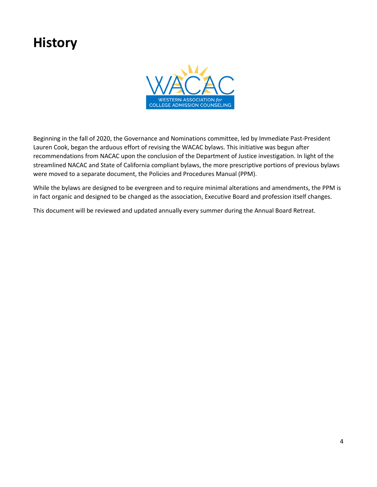## **History**



Beginning in the fall of 2020, the Governance and Nominations committee, led by Immediate Past-President Lauren Cook, began the arduous effort of revising the WACAC bylaws. This initiative was begun after recommendations from NACAC upon the conclusion of the Department of Justice investigation. In light of the streamlined NACAC and State of California compliant bylaws, the more prescriptive portions of previous bylaws were moved to a separate document, the Policies and Procedures Manual (PPM).

While the bylaws are designed to be evergreen and to require minimal alterations and amendments, the PPM is in fact organic and designed to be changed as the association, Executive Board and profession itself changes.

This document will be reviewed and updated annually every summer during the Annual Board Retreat.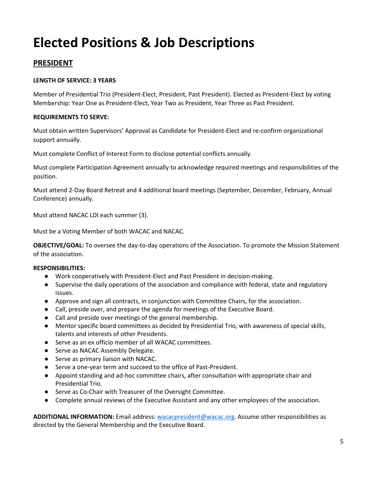# **Elected Positions & Job Descriptions**

## **PRESIDENT**

#### **LENGTH OF SERVICE: 3 YEARS**

Member of Presidential Trio (President-Elect, President, Past President). Elected as President-Elect by voting Membership: Year One as President-Elect, Year Two as President, Year Three as Past President.

#### **REQUIREMENTS TO SERVE:**

Must obtain written Supervisors' Approval as Candidate for President-Elect and re-confirm organizational support annually.

Must complete Conflict of Interest Form to disclose potential conflicts annually.

Must complete Participation Agreement annually to acknowledge required meetings and responsibilities of the position.

Must attend 2-Day Board Retreat and 4 additional board meetings (September, December, February, Annual Conference) annually.

Must attend NACAC LDI each summer (3).

Must be a Voting Member of both WACAC and NACAC.

**OBJECTIVE/GOAL:** To oversee the day-to-day operations of the Association. To promote the Mission Statement of the association.

#### **RESPONSIBILITIES:**

- Work cooperatively with President-Elect and Past President in decision-making.
- Supervise the daily operations of the association and compliance with federal, state and regulatory issues.
- Approve and sign all contracts, in conjunction with Committee Chairs, for the association.
- Call, preside over, and prepare the agenda for meetings of the Executive Board.
- Call and preside over meetings of the general membership.
- Mentor specific board committees as decided by Presidential Trio, with awareness of special skills, talents and interests of other Presidents.
- Serve as an ex officio member of all WACAC committees.
- Serve as NACAC Assembly Delegate.
- Serve as primary liaison with NACAC.
- Serve a one-year term and succeed to the office of Past-President.
- Appoint standing and ad-hoc committee chairs, after consultation with appropriate chair and Presidential Trio.
- Serve as Co-Chair with Treasurer of the Oversight Committee.
- Complete annual reviews of the Executive Assistant and any other employees of the association.

**ADDITIONAL INFORMATION:** Email address: [wacacpresident@wacac.org.](mailto:wacacpresident@wacac.org) Assume other responsibilities as directed by the General Membership and the Executive Board.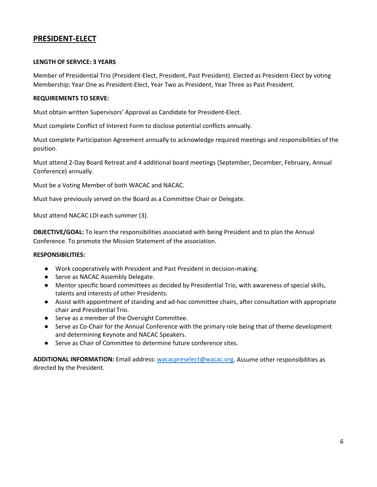### **PRESIDENT-ELECT**

#### **LENGTH OF SERVICE: 3 YEARS**

Member of Presidential Trio (President-Elect, President, Past President). Elected as President-Elect by voting Membership: Year One as President-Elect, Year Two as President, Year Three as Past President.

#### **REQUIREMENTS TO SERVE:**

Must obtain written Supervisors' Approval as Candidate for President-Elect.

Must complete Conflict of Interest Form to disclose potential conflicts annually.

Must complete Participation Agreement annually to acknowledge required meetings and responsibilities of the position.

Must attend 2-Day Board Retreat and 4 additional board meetings (September, December, February, Annual Conference) annually.

Must be a Voting Member of both WACAC and NACAC.

Must have previously served on the Board as a Committee Chair or Delegate.

Must attend NACAC LDI each summer (3).

**OBJECTIVE/GOAL:** To learn the responsibilities associated with being President and to plan the Annual Conference. To promote the Mission Statement of the association.

#### **RESPONSIBILITIES:**

- Work cooperatively with President and Past President in decision-making.
- Serve as NACAC Assembly Delegate.
- Mentor specific board committees as decided by Presidential Trio, with awareness of special skills, talents and interests of other Presidents.
- Assist with appointment of standing and ad-hoc committee chairs, after consultation with appropriate chair and Presidential Trio.
- Serve as a member of the Oversight Committee.
- Serve as Co-Chair for the Annual Conference with the primary role being that of theme development and determining Keynote and NACAC Speakers.
- Serve as Chair of Committee to determine future conference sites.

**ADDITIONAL INFORMATION:** Email address: [wacacpreselect@wacac.org.](mailto:wacacpreselect@wacac.org) Assume other responsibilities as directed by the President.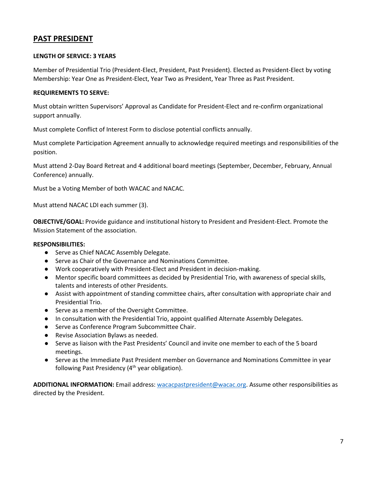### **PAST PRESIDENT**

#### **LENGTH OF SERVICE: 3 YEARS**

Member of Presidential Trio (President-Elect, President, Past President). Elected as President-Elect by voting Membership: Year One as President-Elect, Year Two as President, Year Three as Past President.

#### **REQUIREMENTS TO SERVE:**

Must obtain written Supervisors' Approval as Candidate for President-Elect and re-confirm organizational support annually.

Must complete Conflict of Interest Form to disclose potential conflicts annually.

Must complete Participation Agreement annually to acknowledge required meetings and responsibilities of the position.

Must attend 2-Day Board Retreat and 4 additional board meetings (September, December, February, Annual Conference) annually.

Must be a Voting Member of both WACAC and NACAC.

Must attend NACAC LDI each summer (3).

**OBJECTIVE/GOAL:** Provide guidance and institutional history to President and President-Elect. Promote the Mission Statement of the association.

#### **RESPONSIBILITIES:**

- Serve as Chief NACAC Assembly Delegate.
- Serve as Chair of the Governance and Nominations Committee.
- Work cooperatively with President-Elect and President in decision-making.
- Mentor specific board committees as decided by Presidential Trio, with awareness of special skills, talents and interests of other Presidents.
- Assist with appointment of standing committee chairs, after consultation with appropriate chair and Presidential Trio.
- Serve as a member of the Oversight Committee.
- In consultation with the Presidential Trio, appoint qualified Alternate Assembly Delegates.
- Serve as Conference Program Subcommittee Chair.
- Revise Association Bylaws as needed.
- Serve as liaison with the Past Presidents' Council and invite one member to each of the 5 board meetings.
- Serve as the Immediate Past President member on Governance and Nominations Committee in year following Past Presidency  $(4<sup>th</sup>$  year obligation).

**ADDITIONAL INFORMATION:** Email address: [wacacpastpresident@wacac.org.](mailto:wacacpastpresident@wacac.org) Assume other responsibilities as directed by the President.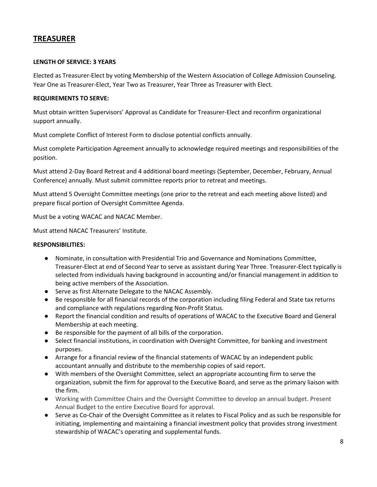## **TREASURER**

#### **LENGTH OF SERVICE: 3 YEARS**

Elected as Treasurer-Elect by voting Membership of the Western Association of College Admission Counseling. Year One as Treasurer-Elect, Year Two as Treasurer, Year Three as Treasurer with Elect.

#### **REQUIREMENTS TO SERVE:**

Must obtain written Supervisors' Approval as Candidate for Treasurer-Elect and reconfirm organizational support annually.

Must complete Conflict of Interest Form to disclose potential conflicts annually.

Must complete Participation Agreement annually to acknowledge required meetings and responsibilities of the position.

Must attend 2-Day Board Retreat and 4 additional board meetings (September, December, February, Annual Conference) annually. Must submit committee reports prior to retreat and meetings.

Must attend 5 Oversight Committee meetings (one prior to the retreat and each meeting above listed) and prepare fiscal portion of Oversight Committee Agenda.

Must be a voting WACAC and NACAC Member.

Must attend NACAC Treasurers' Institute.

#### **RESPONSIBILITIES:**

- Nominate, in consultation with Presidential Trio and Governance and Nominations Committee, Treasurer-Elect at end of Second Year to serve as assistant during Year Three. Treasurer-Elect typically is selected from individuals having background in accounting and/or financial management in addition to being active members of the Association.
- Serve as first Alternate Delegate to the NACAC Assembly.
- Be responsible for all financial records of the corporation including filing Federal and State tax returns and compliance with regulations regarding Non-Profit Status.
- Report the financial condition and results of operations of WACAC to the Executive Board and General Membership at each meeting.
- Be responsible for the payment of all bills of the corporation.
- Select financial institutions, in coordination with Oversight Committee, for banking and investment purposes.
- Arrange for a financial review of the financial statements of WACAC by an independent public accountant annually and distribute to the membership copies of said report.
- With members of the Oversight Committee, select an appropriate accounting firm to serve the organization, submit the firm for approval to the Executive Board, and serve as the primary liaison with the firm.
- Working with Committee Chairs and the Oversight Committee to develop an annual budget. Present Annual Budget to the entire Executive Board for approval.
- Serve as Co-Chair of the Oversight Committee as it relates to Fiscal Policy and as such be responsible for initiating, implementing and maintaining a financial investment policy that provides strong investment stewardship of WACAC's operating and supplemental funds.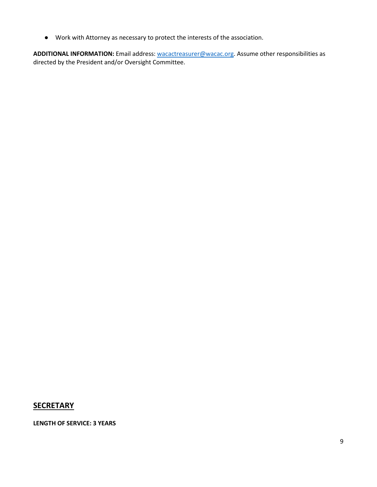● Work with Attorney as necessary to protect the interests of the association.

**ADDITIONAL INFORMATION:** Email address: [wacactreasurer@wacac.org.](mailto:wacactreasurer@wacac.org) Assume other responsibilities as directed by the President and/or Oversight Committee.

## **SECRETARY**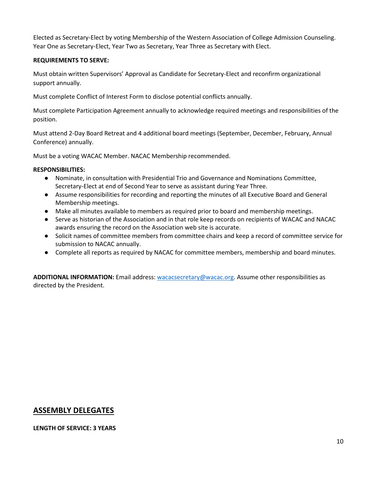Elected as Secretary-Elect by voting Membership of the Western Association of College Admission Counseling. Year One as Secretary-Elect, Year Two as Secretary, Year Three as Secretary with Elect.

#### **REQUIREMENTS TO SERVE:**

Must obtain written Supervisors' Approval as Candidate for Secretary-Elect and reconfirm organizational support annually.

Must complete Conflict of Interest Form to disclose potential conflicts annually.

Must complete Participation Agreement annually to acknowledge required meetings and responsibilities of the position.

Must attend 2-Day Board Retreat and 4 additional board meetings (September, December, February, Annual Conference) annually.

Must be a voting WACAC Member. NACAC Membership recommended.

#### **RESPONSIBILITIES:**

- Nominate, in consultation with Presidential Trio and Governance and Nominations Committee, Secretary-Elect at end of Second Year to serve as assistant during Year Three.
- Assume responsibilities for recording and reporting the minutes of all Executive Board and General Membership meetings.
- Make all minutes available to members as required prior to board and membership meetings.
- Serve as historian of the Association and in that role keep records on recipients of WACAC and NACAC awards ensuring the record on the Association web site is accurate.
- Solicit names of committee members from committee chairs and keep a record of committee service for submission to NACAC annually.
- Complete all reports as required by NACAC for committee members, membership and board minutes.

**ADDITIONAL INFORMATION:** Email address: [wacacsecretary@wacac.org.](mailto:wacacsecretary@wacac.org) Assume other responsibilities as directed by the President.

## **ASSEMBLY DELEGATES**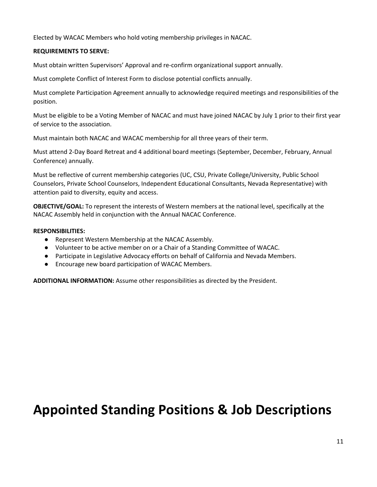Elected by WACAC Members who hold voting membership privileges in NACAC.

#### **REQUIREMENTS TO SERVE:**

Must obtain written Supervisors' Approval and re-confirm organizational support annually.

Must complete Conflict of Interest Form to disclose potential conflicts annually.

Must complete Participation Agreement annually to acknowledge required meetings and responsibilities of the position.

Must be eligible to be a Voting Member of NACAC and must have joined NACAC by July 1 prior to their first year of service to the association.

Must maintain both NACAC and WACAC membership for all three years of their term.

Must attend 2-Day Board Retreat and 4 additional board meetings (September, December, February, Annual Conference) annually.

Must be reflective of current membership categories (UC, CSU, Private College/University, Public School Counselors, Private School Counselors, Independent Educational Consultants, Nevada Representative) with attention paid to diversity, equity and access.

**OBJECTIVE/GOAL:** To represent the interests of Western members at the national level, specifically at the NACAC Assembly held in conjunction with the Annual NACAC Conference.

#### **RESPONSIBILITIES:**

- Represent Western Membership at the NACAC Assembly.
- Volunteer to be active member on or a Chair of a Standing Committee of WACAC.
- Participate in Legislative Advocacy efforts on behalf of California and Nevada Members.
- Encourage new board participation of WACAC Members.

**ADDITIONAL INFORMATION:** Assume other responsibilities as directed by the President.

## **Appointed Standing Positions & Job Descriptions**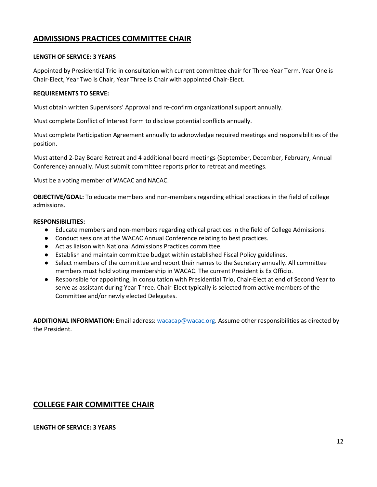## **ADMISSIONS PRACTICES COMMITTEE CHAIR**

#### **LENGTH OF SERVICE: 3 YEARS**

Appointed by Presidential Trio in consultation with current committee chair for Three-Year Term. Year One is Chair-Elect, Year Two is Chair, Year Three is Chair with appointed Chair-Elect.

#### **REQUIREMENTS TO SERVE:**

Must obtain written Supervisors' Approval and re-confirm organizational support annually.

Must complete Conflict of Interest Form to disclose potential conflicts annually.

Must complete Participation Agreement annually to acknowledge required meetings and responsibilities of the position.

Must attend 2-Day Board Retreat and 4 additional board meetings (September, December, February, Annual Conference) annually. Must submit committee reports prior to retreat and meetings.

Must be a voting member of WACAC and NACAC.

**OBJECTIVE/GOAL:** To educate members and non-members regarding ethical practices in the field of college admissions.

#### **RESPONSIBILITIES:**

- Educate members and non-members regarding ethical practices in the field of College Admissions.
- Conduct sessions at the WACAC Annual Conference relating to best practices.
- Act as liaison with National Admissions Practices committee.
- Establish and maintain committee budget within established Fiscal Policy guidelines.
- Select members of the committee and report their names to the Secretary annually. All committee members must hold voting membership in WACAC. The current President is Ex Officio.
- Responsible for appointing, in consultation with Presidential Trio, Chair-Elect at end of Second Year to serve as assistant during Year Three. Chair-Elect typically is selected from active members of the Committee and/or newly elected Delegates.

**ADDITIONAL INFORMATION:** Email address: [wacacap@wacac.org.](mailto:wacacap@wacac.org) Assume other responsibilities as directed by the President.

### **COLLEGE FAIR COMMITTEE CHAIR**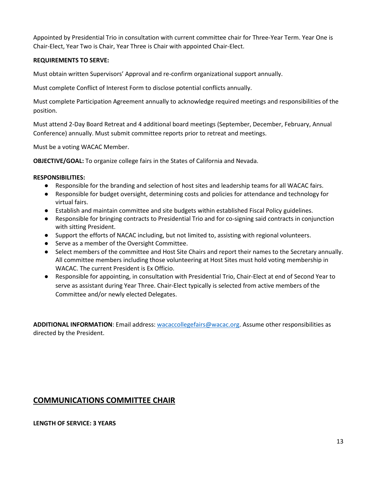#### **REQUIREMENTS TO SERVE:**

Must obtain written Supervisors' Approval and re-confirm organizational support annually.

Must complete Conflict of Interest Form to disclose potential conflicts annually.

Must complete Participation Agreement annually to acknowledge required meetings and responsibilities of the position.

Must attend 2-Day Board Retreat and 4 additional board meetings (September, December, February, Annual Conference) annually. Must submit committee reports prior to retreat and meetings.

Must be a voting WACAC Member.

**OBJECTIVE/GOAL:** To organize college fairs in the States of California and Nevada.

#### **RESPONSIBILITIES:**

- Responsible for the branding and selection of host sites and leadership teams for all WACAC fairs.
- Responsible for budget oversight, determining costs and policies for attendance and technology for virtual fairs.
- Establish and maintain committee and site budgets within established Fiscal Policy guidelines.
- Responsible for bringing contracts to Presidential Trio and for co-signing said contracts in conjunction with sitting President.
- Support the efforts of NACAC including, but not limited to, assisting with regional volunteers.
- Serve as a member of the Oversight Committee.
- Select members of the committee and Host Site Chairs and report their names to the Secretary annually. All committee members including those volunteering at Host Sites must hold voting membership in WACAC. The current President is Ex Officio.
- Responsible for appointing, in consultation with Presidential Trio, Chair-Elect at end of Second Year to serve as assistant during Year Three. Chair-Elect typically is selected from active members of the Committee and/or newly elected Delegates.

**ADDITIONAL INFORMATION**: Email address: [wacaccollegefairs@wacac.org.](mailto:wacaccollegefairs@wacac.org) Assume other responsibilities as directed by the President.

## **COMMUNICATIONS COMMITTEE CHAIR**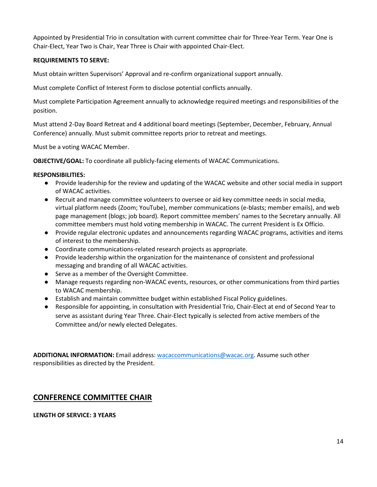#### **REQUIREMENTS TO SERVE:**

Must obtain written Supervisors' Approval and re-confirm organizational support annually.

Must complete Conflict of Interest Form to disclose potential conflicts annually.

Must complete Participation Agreement annually to acknowledge required meetings and responsibilities of the position.

Must attend 2-Day Board Retreat and 4 additional board meetings (September, December, February, Annual Conference) annually. Must submit committee reports prior to retreat and meetings.

Must be a voting WACAC Member.

**OBJECTIVE/GOAL:** To coordinate all publicly-facing elements of WACAC Communications.

#### **RESPONSIBILITIES:**

- Provide leadership for the review and updating of the WACAC website and other social media in support of WACAC activities.
- Recruit and manage committee volunteers to oversee or aid key committee needs in social media, virtual platform needs (Zoom; YouTube), member communications (e-blasts; member emails), and web page management (blogs; job board). Report committee members' names to the Secretary annually. All committee members must hold voting membership in WACAC. The current President is Ex Officio.
- Provide regular electronic updates and announcements regarding WACAC programs, activities and items of interest to the membership.
- Coordinate communications-related research projects as appropriate.
- Provide leadership within the organization for the maintenance of consistent and professional messaging and branding of all WACAC activities.
- Serve as a member of the Oversight Committee.
- Manage requests regarding non-WACAC events, resources, or other communications from third parties to WACAC membership.
- Establish and maintain committee budget within established Fiscal Policy guidelines.
- Responsible for appointing, in consultation with Presidential Trio, Chair-Elect at end of Second Year to serve as assistant during Year Three. Chair-Elect typically is selected from active members of the Committee and/or newly elected Delegates.

**ADDITIONAL INFORMATION:** Email address: [wacaccommunications@wacac.org.](mailto:wacaccommunications@wacac.org) Assume such other responsibilities as directed by the President.

## **CONFERENCE COMMITTEE CHAIR**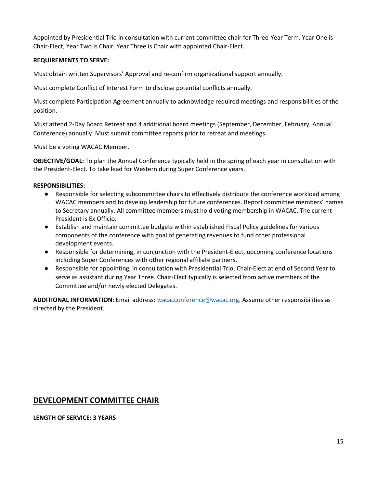#### **REQUIREMENTS TO SERVE:**

Must obtain written Supervisors' Approval and re-confirm organizational support annually.

Must complete Conflict of Interest Form to disclose potential conflicts annually.

Must complete Participation Agreement annually to acknowledge required meetings and responsibilities of the position.

Must attend 2-Day Board Retreat and 4 additional board meetings (September, December, February, Annual Conference) annually. Must submit committee reports prior to retreat and meetings.

Must be a voting WACAC Member.

**OBJECTIVE/GOAL:** To plan the Annual Conference typically held in the spring of each year in consultation with the President-Elect. To take lead for Western during Super Conference years.

#### **RESPONSIBILITIES:**

- Responsible for selecting subcommittee chairs to effectively distribute the conference workload among WACAC members and to develop leadership for future conferences. Report committee members' names to Secretary annually. All committee members must hold voting membership in WACAC. The current President is Ex Officio.
- Establish and maintain committee budgets within established Fiscal Policy guidelines for various components of the conference with goal of generating revenues to fund other professional development events.
- Responsible for determining, in conjunction with the President-Elect, upcoming conference locations including Super Conferences with other regional affiliate partners.
- Responsible for appointing, in consultation with Presidential Trio, Chair-Elect at end of Second Year to serve as assistant during Year Three. Chair-Elect typically is selected from active members of the Committee and/or newly elected Delegates.

**ADDITIONAL INFORMATION**: Email address: [wacacconference@wacac.org.](mailto:wacacconference@wacac.org) Assume other responsibilities as directed by the President.

### **DEVELOPMENT COMMITTEE CHAIR**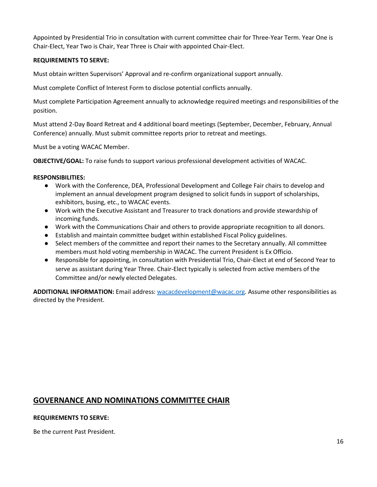#### **REQUIREMENTS TO SERVE:**

Must obtain written Supervisors' Approval and re-confirm organizational support annually.

Must complete Conflict of Interest Form to disclose potential conflicts annually.

Must complete Participation Agreement annually to acknowledge required meetings and responsibilities of the position.

Must attend 2-Day Board Retreat and 4 additional board meetings (September, December, February, Annual Conference) annually. Must submit committee reports prior to retreat and meetings.

Must be a voting WACAC Member.

**OBJECTIVE/GOAL:** To raise funds to support various professional development activities of WACAC.

#### **RESPONSIBILITIES:**

- Work with the Conference, DEA, Professional Development and College Fair chairs to develop and implement an annual development program designed to solicit funds in support of scholarships, exhibitors, busing, etc., to WACAC events.
- Work with the Executive Assistant and Treasurer to track donations and provide stewardship of incoming funds.
- Work with the Communications Chair and others to provide appropriate recognition to all donors.
- Establish and maintain committee budget within established Fiscal Policy guidelines.
- Select members of the committee and report their names to the Secretary annually. All committee members must hold voting membership in WACAC. The current President is Ex Officio.
- Responsible for appointing, in consultation with Presidential Trio, Chair-Elect at end of Second Year to serve as assistant during Year Three. Chair-Elect typically is selected from active members of the Committee and/or newly elected Delegates.

**ADDITIONAL INFORMATION:** Email address: [wacacdevelopment@wacac.org.](mailto:wacacdevelopment@wacac.org) Assume other responsibilities as directed by the President.

### **GOVERNANCE AND NOMINATIONS COMMITTEE CHAIR**

#### **REQUIREMENTS TO SERVE:**

Be the current Past President.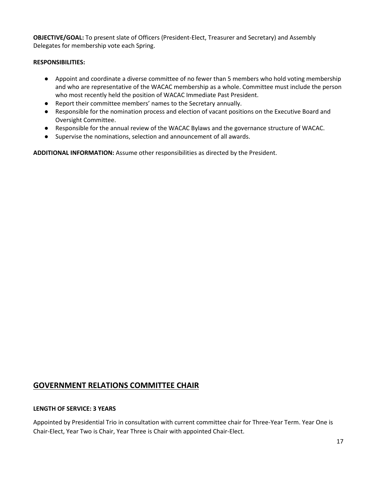**OBJECTIVE/GOAL:** To present slate of Officers (President-Elect, Treasurer and Secretary) and Assembly Delegates for membership vote each Spring.

#### **RESPONSIBILITIES:**

- Appoint and coordinate a diverse committee of no fewer than 5 members who hold voting membership and who are representative of the WACAC membership as a whole. Committee must include the person who most recently held the position of WACAC Immediate Past President.
- Report their committee members' names to the Secretary annually.
- Responsible for the nomination process and election of vacant positions on the Executive Board and Oversight Committee.
- Responsible for the annual review of the WACAC Bylaws and the governance structure of WACAC.
- Supervise the nominations, selection and announcement of all awards.

**ADDITIONAL INFORMATION:** Assume other responsibilities as directed by the President.

### **GOVERNMENT RELATIONS COMMITTEE CHAIR**

#### **LENGTH OF SERVICE: 3 YEARS**

Appointed by Presidential Trio in consultation with current committee chair for Three-Year Term. Year One is Chair-Elect, Year Two is Chair, Year Three is Chair with appointed Chair-Elect.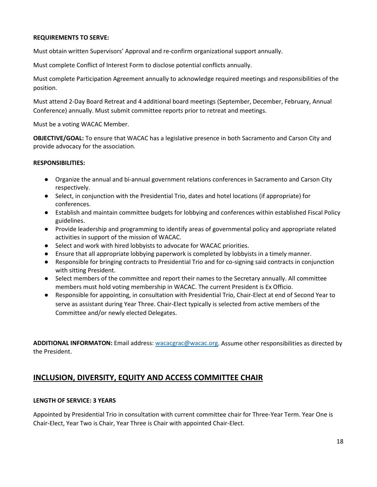#### **REQUIREMENTS TO SERVE:**

Must obtain written Supervisors' Approval and re-confirm organizational support annually.

Must complete Conflict of Interest Form to disclose potential conflicts annually.

Must complete Participation Agreement annually to acknowledge required meetings and responsibilities of the position.

Must attend 2-Day Board Retreat and 4 additional board meetings (September, December, February, Annual Conference) annually. Must submit committee reports prior to retreat and meetings.

Must be a voting WACAC Member.

**OBJECTIVE/GOAL:** To ensure that WACAC has a legislative presence in both Sacramento and Carson City and provide advocacy for the association.

#### **RESPONSIBILITIES:**

- Organize the annual and bi-annual government relations conferences in Sacramento and Carson City respectively.
- Select, in conjunction with the Presidential Trio, dates and hotel locations (if appropriate) for conferences.
- Establish and maintain committee budgets for lobbying and conferences within established Fiscal Policy guidelines.
- Provide leadership and programming to identify areas of governmental policy and appropriate related activities in support of the mission of WACAC.
- Select and work with hired lobbyists to advocate for WACAC priorities.
- Ensure that all appropriate lobbying paperwork is completed by lobbyists in a timely manner.
- Responsible for bringing contracts to Presidential Trio and for co-signing said contracts in conjunction with sitting President.
- Select members of the committee and report their names to the Secretary annually. All committee members must hold voting membership in WACAC. The current President is Ex Officio.
- Responsible for appointing, in consultation with Presidential Trio, Chair-Elect at end of Second Year to serve as assistant during Year Three. Chair-Elect typically is selected from active members of the Committee and/or newly elected Delegates.

**ADDITIONAL INFORMATON:** Email address: [wacacgrac@wacac.org.](mailto:wacacgrac@wacac.org) Assume other responsibilities as directed by the President.

## **INCLUSION, DIVERSITY, EQUITY AND ACCESS COMMITTEE CHAIR**

#### **LENGTH OF SERVICE: 3 YEARS**

Appointed by Presidential Trio in consultation with current committee chair for Three-Year Term. Year One is Chair-Elect, Year Two is Chair, Year Three is Chair with appointed Chair-Elect.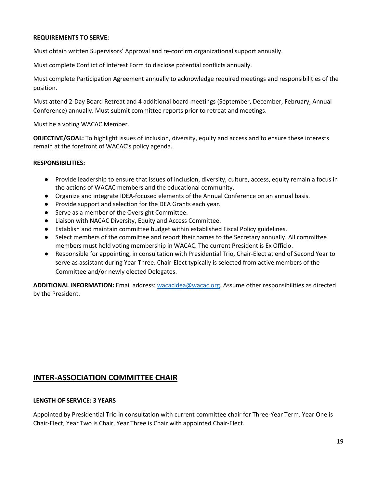#### **REQUIREMENTS TO SERVE:**

Must obtain written Supervisors' Approval and re-confirm organizational support annually.

Must complete Conflict of Interest Form to disclose potential conflicts annually.

Must complete Participation Agreement annually to acknowledge required meetings and responsibilities of the position.

Must attend 2-Day Board Retreat and 4 additional board meetings (September, December, February, Annual Conference) annually. Must submit committee reports prior to retreat and meetings.

Must be a voting WACAC Member.

**OBJECTIVE/GOAL:** To highlight issues of inclusion, diversity, equity and access and to ensure these interests remain at the forefront of WACAC's policy agenda.

#### **RESPONSIBILITIES:**

- Provide leadership to ensure that issues of inclusion, diversity, culture, access, equity remain a focus in the actions of WACAC members and the educational community.
- Organize and integrate IDEA-focused elements of the Annual Conference on an annual basis.
- Provide support and selection for the DEA Grants each year.
- Serve as a member of the Oversight Committee.
- Liaison with NACAC Diversity, Equity and Access Committee.
- Establish and maintain committee budget within established Fiscal Policy guidelines.
- Select members of the committee and report their names to the Secretary annually. All committee members must hold voting membership in WACAC. The current President is Ex Officio.
- Responsible for appointing, in consultation with Presidential Trio, Chair-Elect at end of Second Year to serve as assistant during Year Three. Chair-Elect typically is selected from active members of the Committee and/or newly elected Delegates.

**ADDITIONAL INFORMATION:** Email address: [wacacidea@wacac.org.](mailto:wacacidea@wacac.org) Assume other responsibilities as directed by the President.

### **INTER-ASSOCIATION COMMITTEE CHAIR**

#### **LENGTH OF SERVICE: 3 YEARS**

Appointed by Presidential Trio in consultation with current committee chair for Three-Year Term. Year One is Chair-Elect, Year Two is Chair, Year Three is Chair with appointed Chair-Elect.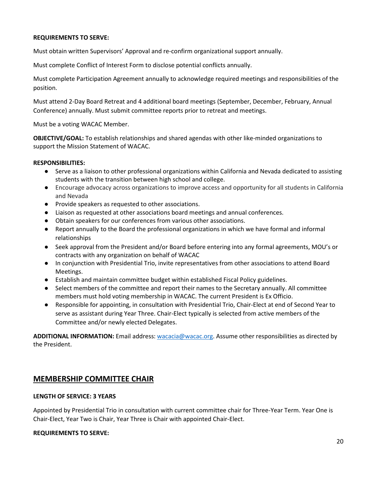#### **REQUIREMENTS TO SERVE:**

Must obtain written Supervisors' Approval and re-confirm organizational support annually.

Must complete Conflict of Interest Form to disclose potential conflicts annually.

Must complete Participation Agreement annually to acknowledge required meetings and responsibilities of the position.

Must attend 2-Day Board Retreat and 4 additional board meetings (September, December, February, Annual Conference) annually. Must submit committee reports prior to retreat and meetings.

Must be a voting WACAC Member.

**OBJECTIVE/GOAL:** To establish relationships and shared agendas with other like-minded organizations to support the Mission Statement of WACAC.

#### **RESPONSIBILITIES:**

- Serve as a liaison to other professional organizations within California and Nevada dedicated to assisting students with the transition between high school and college.
- Encourage advocacy across organizations to improve access and opportunity for all students in California and Nevada
- Provide speakers as requested to other associations.
- Liaison as requested at other associations board meetings and annual conferences.
- Obtain speakers for our conferences from various other associations.
- Report annually to the Board the professional organizations in which we have formal and informal relationships
- Seek approval from the President and/or Board before entering into any formal agreements, MOU's or contracts with any organization on behalf of WACAC
- In conjunction with Presidential Trio, invite representatives from other associations to attend Board Meetings.
- Establish and maintain committee budget within established Fiscal Policy guidelines.
- Select members of the committee and report their names to the Secretary annually. All committee members must hold voting membership in WACAC. The current President is Ex Officio.
- Responsible for appointing, in consultation with Presidential Trio, Chair-Elect at end of Second Year to serve as assistant during Year Three. Chair-Elect typically is selected from active members of the Committee and/or newly elected Delegates.

**ADDITIONAL INFORMATION:** Email address: [wacacia@wacac.org.](mailto:wacacia@wacac.org) Assume other responsibilities as directed by the President.

### **MEMBERSHIP COMMITTEE CHAIR**

#### **LENGTH OF SERVICE: 3 YEARS**

Appointed by Presidential Trio in consultation with current committee chair for Three-Year Term. Year One is Chair-Elect, Year Two is Chair, Year Three is Chair with appointed Chair-Elect.

#### **REQUIREMENTS TO SERVE:**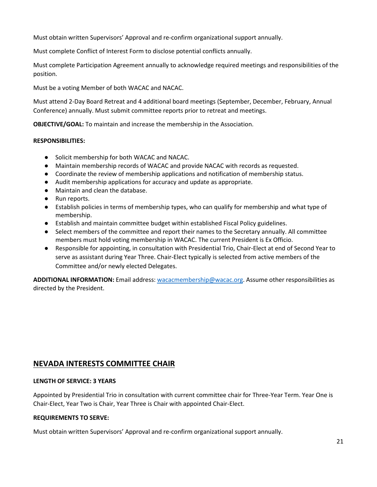Must obtain written Supervisors' Approval and re-confirm organizational support annually.

Must complete Conflict of Interest Form to disclose potential conflicts annually.

Must complete Participation Agreement annually to acknowledge required meetings and responsibilities of the position.

Must be a voting Member of both WACAC and NACAC.

Must attend 2-Day Board Retreat and 4 additional board meetings (September, December, February, Annual Conference) annually. Must submit committee reports prior to retreat and meetings.

**OBJECTIVE/GOAL:** To maintain and increase the membership in the Association.

#### **RESPONSIBILITIES:**

- Solicit membership for both WACAC and NACAC.
- Maintain membership records of WACAC and provide NACAC with records as requested.
- Coordinate the review of membership applications and notification of membership status.
- Audit membership applications for accuracy and update as appropriate.
- Maintain and clean the database.
- Run reports.
- Establish policies in terms of membership types, who can qualify for membership and what type of membership.
- Establish and maintain committee budget within established Fiscal Policy guidelines.
- Select members of the committee and report their names to the Secretary annually. All committee members must hold voting membership in WACAC. The current President is Ex Officio.
- Responsible for appointing, in consultation with Presidential Trio, Chair-Elect at end of Second Year to serve as assistant during Year Three. Chair-Elect typically is selected from active members of the Committee and/or newly elected Delegates.

**ADDITIONAL INFORMATION:** Email address: [wacacmembership@wacac.org.](mailto:wacacmembership@wacac.org) Assume other responsibilities as directed by the President.

## **NEVADA INTERESTS COMMITTEE CHAIR**

#### **LENGTH OF SERVICE: 3 YEARS**

Appointed by Presidential Trio in consultation with current committee chair for Three-Year Term. Year One is Chair-Elect, Year Two is Chair, Year Three is Chair with appointed Chair-Elect.

#### **REQUIREMENTS TO SERVE:**

Must obtain written Supervisors' Approval and re-confirm organizational support annually.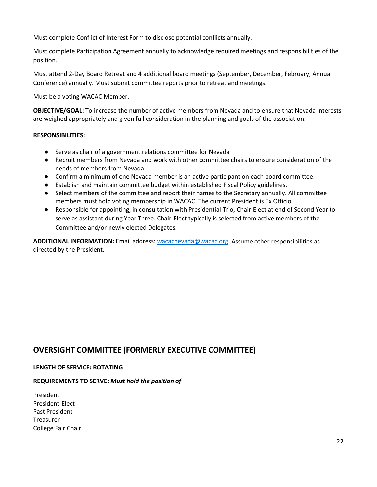Must complete Conflict of Interest Form to disclose potential conflicts annually.

Must complete Participation Agreement annually to acknowledge required meetings and responsibilities of the position.

Must attend 2-Day Board Retreat and 4 additional board meetings (September, December, February, Annual Conference) annually. Must submit committee reports prior to retreat and meetings.

Must be a voting WACAC Member.

**OBJECTIVE/GOAL:** To increase the number of active members from Nevada and to ensure that Nevada interests are weighed appropriately and given full consideration in the planning and goals of the association.

#### **RESPONSIBILITIES:**

- Serve as chair of a government relations committee for Nevada
- Recruit members from Nevada and work with other committee chairs to ensure consideration of the needs of members from Nevada.
- Confirm a minimum of one Nevada member is an active participant on each board committee.
- Establish and maintain committee budget within established Fiscal Policy guidelines.
- Select members of the committee and report their names to the Secretary annually. All committee members must hold voting membership in WACAC. The current President is Ex Officio.
- Responsible for appointing, in consultation with Presidential Trio, Chair-Elect at end of Second Year to serve as assistant during Year Three. Chair-Elect typically is selected from active members of the Committee and/or newly elected Delegates.

ADDITIONAL INFORMATION: Email address: [wacacnevada@wacac.org.](mailto:wacacnevada@wacac.org) Assume other responsibilities as directed by the President.

## **OVERSIGHT COMMITTEE (FORMERLY EXECUTIVE COMMITTEE)**

#### **LENGTH OF SERVICE: ROTATING**

#### **REQUIREMENTS TO SERVE:** *Must hold the position of*

President President-Elect Past President Treasurer College Fair Chair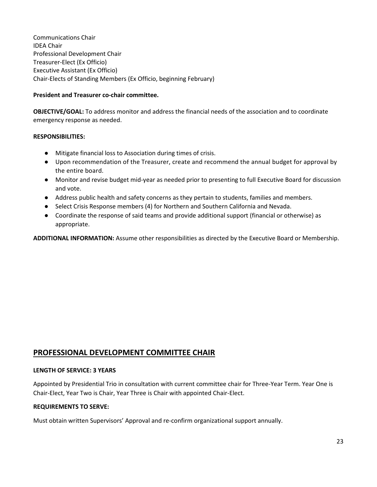Communications Chair IDEA Chair Professional Development Chair Treasurer-Elect (Ex Officio) Executive Assistant (Ex Officio) Chair-Elects of Standing Members (Ex Officio, beginning February)

#### **President and Treasurer co-chair committee.**

**OBJECTIVE/GOAL:** To address monitor and address the financial needs of the association and to coordinate emergency response as needed.

#### **RESPONSIBILITIES:**

- Mitigate financial loss to Association during times of crisis.
- Upon recommendation of the Treasurer, create and recommend the annual budget for approval by the entire board.
- Monitor and revise budget mid-year as needed prior to presenting to full Executive Board for discussion and vote.
- Address public health and safety concerns as they pertain to students, families and members.
- Select Crisis Response members (4) for Northern and Southern California and Nevada.
- Coordinate the response of said teams and provide additional support (financial or otherwise) as appropriate.

**ADDITIONAL INFORMATION:** Assume other responsibilities as directed by the Executive Board or Membership.

## **PROFESSIONAL DEVELOPMENT COMMITTEE CHAIR**

#### **LENGTH OF SERVICE: 3 YEARS**

Appointed by Presidential Trio in consultation with current committee chair for Three-Year Term. Year One is Chair-Elect, Year Two is Chair, Year Three is Chair with appointed Chair-Elect.

#### **REQUIREMENTS TO SERVE:**

Must obtain written Supervisors' Approval and re-confirm organizational support annually.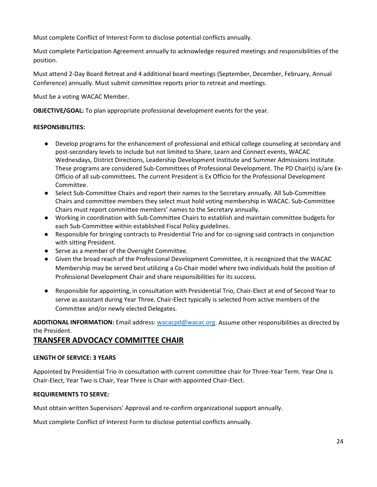Must complete Conflict of Interest Form to disclose potential conflicts annually.

Must complete Participation Agreement annually to acknowledge required meetings and responsibilities of the position.

Must attend 2-Day Board Retreat and 4 additional board meetings (September, December, February, Annual Conference) annually. Must submit committee reports prior to retreat and meetings.

Must be a voting WACAC Member.

**OBJECTIVE/GOAL:** To plan appropriate professional development events for the year.

#### **RESPONSIBILITIES:**

- Develop programs for the enhancement of professional and ethical college counseling at secondary and post-secondary levels to include but not limited to Share, Learn and Connect events, WACAC Wednesdays, District Directions, Leadership Development Institute and Summer Admissions Institute. These programs are considered Sub-Committees of Professional Development. The PD Chair(s) is/are Ex-Officio of all sub-committees. The current President is Ex Officio for the Professional Development Committee.
- Select Sub-Committee Chairs and report their names to the Secretary annually. All Sub-Committee Chairs and committee members they select must hold voting membership in WACAC. Sub-Committee Chairs must report committee members' names to the Secretary annually.
- Working in coordination with Sub-Committee Chairs to establish and maintain committee budgets for each Sub-Committee within established Fiscal Policy guidelines.
- Responsible for bringing contracts to Presidential Trio and for co-signing said contracts in conjunction with sitting President.
- Serve as a member of the Oversight Committee.
- Given the broad reach of the Professional Development Committee, it is recognized that the WACAC Membership may be served best utilizing a Co-Chair model where two individuals hold the position of Professional Development Chair and share responsibilities for its success.
- Responsible for appointing, in consultation with Presidential Trio, Chair-Elect at end of Second Year to serve as assistant during Year Three. Chair-Elect typically is selected from active members of the Committee and/or newly elected Delegates.

**ADDITIONAL INFORMATION:** Email address: [wacacpd@wacac.org.](mailto:wacacpd@wacac.org) Assume other responsibilities as directed by the President.

### **TRANSFER ADVOCACY COMMITTEE CHAIR**

#### **LENGTH OF SERVICE: 3 YEARS**

Appointed by Presidential Trio in consultation with current committee chair for Three-Year Term. Year One is Chair-Elect, Year Two is Chair, Year Three is Chair with appointed Chair-Elect.

#### **REQUIREMENTS TO SERVE:**

Must obtain written Supervisors' Approval and re-confirm organizational support annually.

Must complete Conflict of Interest Form to disclose potential conflicts annually.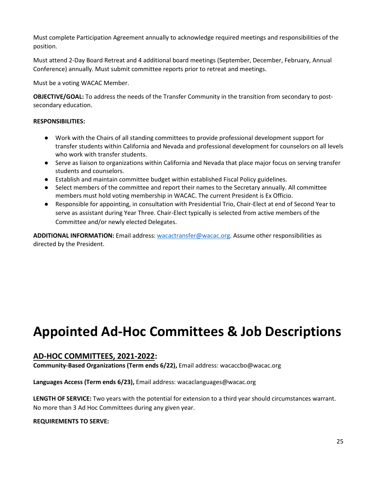Must complete Participation Agreement annually to acknowledge required meetings and responsibilities of the position.

Must attend 2-Day Board Retreat and 4 additional board meetings (September, December, February, Annual Conference) annually. Must submit committee reports prior to retreat and meetings.

Must be a voting WACAC Member.

**OBJECTIVE/GOAL:** To address the needs of the Transfer Community in the transition from secondary to postsecondary education.

#### **RESPONSIBILITIES:**

- Work with the Chairs of all standing committees to provide professional development support for transfer students within California and Nevada and professional development for counselors on all levels who work with transfer students.
- Serve as liaison to organizations within California and Nevada that place major focus on serving transfer students and counselors.
- Establish and maintain committee budget within established Fiscal Policy guidelines.
- Select members of the committee and report their names to the Secretary annually. All committee members must hold voting membership in WACAC. The current President is Ex Officio.
- Responsible for appointing, in consultation with Presidential Trio, Chair-Elect at end of Second Year to serve as assistant during Year Three. Chair-Elect typically is selected from active members of the Committee and/or newly elected Delegates.

**ADDITIONAL INFORMATION:** Email address: [wacactransfer@wacac.org.](mailto:wacactransfer@wacac.org) Assume other responsibilities as directed by the President.

## **Appointed Ad-Hoc Committees & Job Descriptions**

### **AD-HOC COMMITTEES, 2021-2022:**

**Community-Based Organizations (Term ends 6/22),** Email address: wacaccbo@wacac.org

**Languages Access (Term ends 6/23),** Email address: wacaclanguages@wacac.org

**LENGTH OF SERVICE:** Two years with the potential for extension to a third year should circumstances warrant. No more than 3 Ad Hoc Committees during any given year.

#### **REQUIREMENTS TO SERVE:**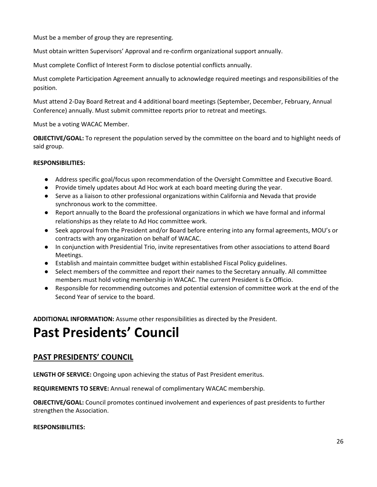Must be a member of group they are representing.

Must obtain written Supervisors' Approval and re-confirm organizational support annually.

Must complete Conflict of Interest Form to disclose potential conflicts annually.

Must complete Participation Agreement annually to acknowledge required meetings and responsibilities of the position.

Must attend 2-Day Board Retreat and 4 additional board meetings (September, December, February, Annual Conference) annually. Must submit committee reports prior to retreat and meetings.

Must be a voting WACAC Member.

**OBJECTIVE/GOAL:** To represent the population served by the committee on the board and to highlight needs of said group.

#### **RESPONSIBILITIES:**

- Address specific goal/focus upon recommendation of the Oversight Committee and Executive Board.
- Provide timely updates about Ad Hoc work at each board meeting during the year.
- Serve as a liaison to other professional organizations within California and Nevada that provide synchronous work to the committee.
- Report annually to the Board the professional organizations in which we have formal and informal relationships as they relate to Ad Hoc committee work.
- Seek approval from the President and/or Board before entering into any formal agreements, MOU's or contracts with any organization on behalf of WACAC.
- In conjunction with Presidential Trio, invite representatives from other associations to attend Board Meetings.
- Establish and maintain committee budget within established Fiscal Policy guidelines.
- Select members of the committee and report their names to the Secretary annually. All committee members must hold voting membership in WACAC. The current President is Ex Officio.
- Responsible for recommending outcomes and potential extension of committee work at the end of the Second Year of service to the board.

**ADDITIONAL INFORMATION:** Assume other responsibilities as directed by the President.

## **Past Presidents' Council**

## **PAST PRESIDENTS' COUNCIL**

**LENGTH OF SERVICE:** Ongoing upon achieving the status of Past President emeritus.

**REQUIREMENTS TO SERVE:** Annual renewal of complimentary WACAC membership.

**OBJECTIVE/GOAL:** Council promotes continued involvement and experiences of past presidents to further strengthen the Association.

#### **RESPONSIBILITIES:**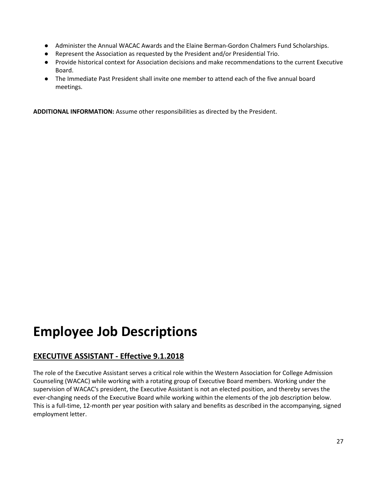- Administer the Annual WACAC Awards and the Elaine Berman-Gordon Chalmers Fund Scholarships.
- Represent the Association as requested by the President and/or Presidential Trio.
- Provide historical context for Association decisions and make recommendations to the current Executive Board.
- The Immediate Past President shall invite one member to attend each of the five annual board meetings.

**ADDITIONAL INFORMATION:** Assume other responsibilities as directed by the President.

## **Employee Job Descriptions**

## **EXECUTIVE ASSISTANT - Effective 9.1.2018**

The role of the Executive Assistant serves a critical role within the Western Association for College Admission Counseling (WACAC) while working with a rotating group of Executive Board members. Working under the supervision of WACAC's president, the Executive Assistant is not an elected position, and thereby serves the ever-changing needs of the Executive Board while working within the elements of the job description below. This is a full-time, 12-month per year position with salary and benefits as described in the accompanying, signed employment letter.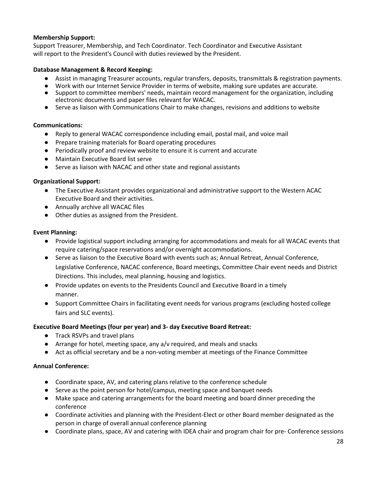#### **Membership Support:**

Support Treasurer, Membership, and Tech Coordinator. Tech Coordinator and Executive Assistant will report to the President's Council with duties reviewed by the President.

#### **Database Management & Record Keeping:**

- Assist in managing Treasurer accounts, regular transfers, deposits, transmittals & registration payments.
- Work with our Internet Service Provider in terms of website, making sure updates are accurate.
- Support to committee members' needs, maintain record management for the organization, including electronic documents and paper files relevant for WACAC.
- Serve as liaison with Communications Chair to make changes, revisions and additions to website

#### **Communications:**

- Reply to general WACAC correspondence including email, postal mail, and voice mail
- Prepare training materials for Board operating procedures
- Periodically proof and review website to ensure it is current and accurate
- Maintain Executive Board list serve
- Serve as liaison with NACAC and other state and regional assistants

#### **Organizational Support:**

- The Executive Assistant provides organizational and administrative support to the Western ACAC Executive Board and their activities.
- Annually archive all WACAC files
- Other duties as assigned from the President.

#### **Event Planning:**

- Provide logistical support including arranging for accommodations and meals for all WACAC events that require catering/space reservations and/or overnight accommodations.
- Serve as liaison to the Executive Board with events such as; Annual Retreat, Annual Conference, Legislative Conference, NACAC conference, Board meetings, Committee Chair event needs and District Directions. This includes, meal planning, housing and logistics.
- Provide updates on events to the Presidents Council and Executive Board in a timely manner.
- Support Committee Chairs in facilitating event needs for various programs (excluding hosted college fairs and SLC events).

#### **Executive Board Meetings (four per year) and 3- day Executive Board Retreat:**

- Track RSVPs and travel plans
- Arrange for hotel, meeting space, any a/v required, and meals and snacks
- Act as official secretary and be a non-voting member at meetings of the Finance Committee

#### **Annual Conference:**

- Coordinate space, AV, and catering plans relative to the conference schedule
- Serve as the point person for hotel/campus, meeting space and banquet needs
- Make space and catering arrangements for the board meeting and board dinner preceding the conference
- Coordinate activities and planning with the President-Elect or other Board member designated as the person in charge of overall annual conference planning
- Coordinate plans, space, AV and catering with IDEA chair and program chair for pre- Conference sessions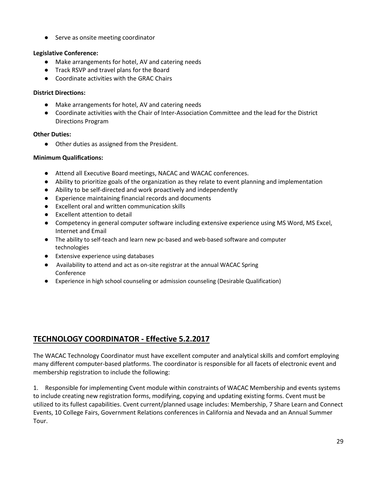● Serve as onsite meeting coordinator

#### **Legislative Conference:**

- Make arrangements for hotel, AV and catering needs
- Track RSVP and travel plans for the Board
- Coordinate activities with the GRAC Chairs

#### **District Directions:**

- Make arrangements for hotel, AV and catering needs
- Coordinate activities with the Chair of Inter-Association Committee and the lead for the District Directions Program

#### **Other Duties:**

● Other duties as assigned from the President.

#### **Minimum Qualifications:**

- Attend all Executive Board meetings, NACAC and WACAC conferences.
- Ability to prioritize goals of the organization as they relate to event planning and implementation
- Ability to be self-directed and work proactively and independently
- Experience maintaining financial records and documents
- Excellent oral and written communication skills
- Excellent attention to detail
- Competency in general computer software including extensive experience using MS Word, MS Excel, Internet and Email
- The ability to self-teach and learn new pc-based and web-based software and computer technologies
- Extensive experience using databases
- Availability to attend and act as on-site registrar at the annual WACAC Spring Conference
- Experience in high school counseling or admission counseling (Desirable Qualification)

## **TECHNOLOGY COORDINATOR - Effective 5.2.2017**

The WACAC Technology Coordinator must have excellent computer and analytical skills and comfort employing many different computer-based platforms. The coordinator is responsible for all facets of electronic event and membership registration to include the following:

1. Responsible for implementing Cvent module within constraints of WACAC Membership and events systems to include creating new registration forms, modifying, copying and updating existing forms. Cvent must be utilized to its fullest capabilities. Cvent current/planned usage includes: Membership, 7 Share Learn and Connect Events, 10 College Fairs, Government Relations conferences in California and Nevada and an Annual Summer Tour.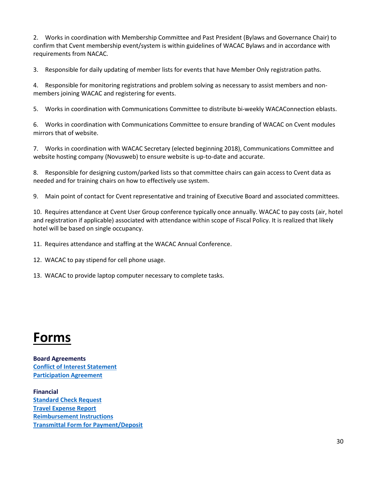2. Works in coordination with Membership Committee and Past President (Bylaws and Governance Chair) to confirm that Cvent membership event/system is within guidelines of WACAC Bylaws and in accordance with requirements from NACAC.

3. Responsible for daily updating of member lists for events that have Member Only registration paths.

4. Responsible for monitoring registrations and problem solving as necessary to assist members and nonmembers joining WACAC and registering for events.

5. Works in coordination with Communications Committee to distribute bi-weekly WACAConnection eblasts.

6. Works in coordination with Communications Committee to ensure branding of WACAC on Cvent modules mirrors that of website.

7. Works in coordination with WACAC Secretary (elected beginning 2018), Communications Committee and website hosting company (Novusweb) to ensure website is up-to-date and accurate.

8. Responsible for designing custom/parked lists so that committee chairs can gain access to Cvent data as needed and for training chairs on how to effectively use system.

9. Main point of contact for Cvent representative and training of Executive Board and associated committees.

10. Requires attendance at Cvent User Group conference typically once annually. WACAC to pay costs (air, hotel and registration if applicable) associated with attendance within scope of Fiscal Policy. It is realized that likely hotel will be based on single occupancy.

11. Requires attendance and staffing at the WACAC Annual Conference.

12. WACAC to pay stipend for cell phone usage.

13. WACAC to provide laptop computer necessary to complete tasks.

## **Forms**

**Board Agreements [Conflict of Interest Statement](https://forms.gle/ZKAtKSoG8PGRcsaE8) [Participation Agreement](https://forms.gle/U3j7pgv7uiqmHB988)**

**Financial Standard Check Request Travel Expense Report [Reimbursement Instructions](https://3fn72f6h8343uvxzx2v9bkc6-wpengine.netdna-ssl.com/wp-content/uploads/WACAC-Expense-Reimbursement-Instructions.pdf) Transmittal Form for Payment/Deposit**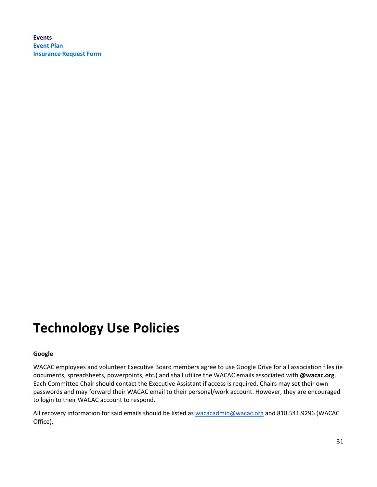**Events [Event Plan](https://forms.gle/9tC6sjzwnvopgLUB6) [Insurance Request Form](https://docs.google.com/forms/d/1F1C2irlHn5CU5iCJgm73X5rLJEZDlKuY8vT4SQqPrSA/edit?ts=5efc1f03)**

## **Technology Use Policies**

#### **Google**

WACAC employees and volunteer Executive Board members agree to use Google Drive for all association files (ie documents, spreadsheets, powerpoints, etc.) and shall utilize the WACAC emails associated with **@wacac.org**. Each Committee Chair should contact the Executive Assistant if access is required. Chairs may set their own passwords and may forward their WACAC email to their personal/work account. However, they are encouraged to login to their WACAC account to respond.

All recovery information for said emails should be listed as [wacacadmin@wacac.org](mailto:wacacadmin@wacac.org) and 818.541.9296 (WACAC Office).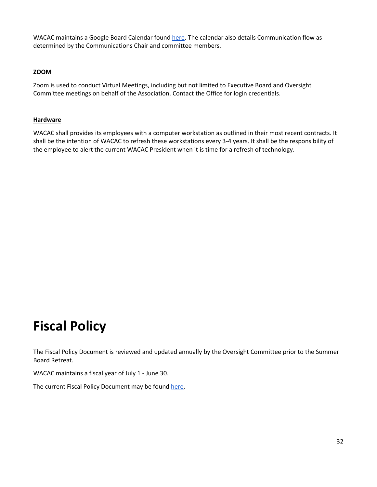WACAC maintains a Google Board Calendar foun[d here.](https://www.wacac.org/wacac-board-planning-calendar/) The calendar also details Communication flow as determined by the Communications Chair and committee members.

#### **ZOOM**

Zoom is used to conduct Virtual Meetings, including but not limited to Executive Board and Oversight Committee meetings on behalf of the Association. Contact the Office for login credentials.

#### **Hardware**

WACAC shall provides its employees with a computer workstation as outlined in their most recent contracts. It shall be the intention of WACAC to refresh these workstations every 3-4 years. It shall be the responsibility of the employee to alert the current WACAC President when it is time for a refresh of technology.

## **Fiscal Policy**

The Fiscal Policy Document is reviewed and updated annually by the Oversight Committee prior to the Summer Board Retreat.

WACAC maintains a fiscal year of July 1 - June 30.

The current Fiscal Policy Document may be foun[d here.](https://www.wacac.org/committees/fiscal-policy/)